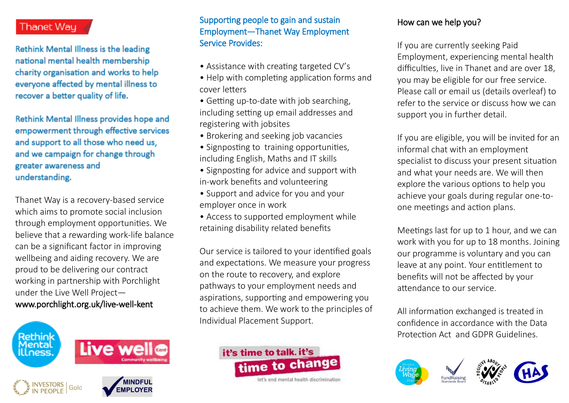# Thanet Way

Rethink Mental Illness is the leading national mental health membership charity organisation and works to help everyone affected by mental illness to recover a better quality of life.

Rethink Mental Illness provides hope and empowerment through effective services and support to all those who need us. and we campaign for change through greater awareness and understanding.

Thanet Way is a recovery-based service which aims to promote social inclusion through employment opportunities. We believe that a rewarding work-life balance can be a significant factor in improving wellbeing and aiding recovery. We are proud to be delivering our contract working in partnership with Porchlight under the Live Well Project www.porchlight.org.uk/live-well-kent



## Supporting people to gain and sustain Employment—Thanet Way Employment Service Provides:

- Assistance with creating targeted CV's
- Help with completing application forms and cover letters
- Getting up-to-date with job searching, including setting up email addresses and registering with jobsites
- Brokering and seeking job vacancies
- Signposting to training opportunities, including English, Maths and IT skills
- Signposting for advice and support with in-work benefits and volunteering
- Support and advice for you and your employer once in work
- Access to supported employment while retaining disability related benefits

Our service is tailored to your identified goals and expectations. We measure your progress on the route to recovery, and explore pathways to your employment needs and aspirations, supporting and empowering you to achieve them. We work to the principles of Individual Placement Support.



let's and mental health discriminat

## How can we help you?

If you are currently seeking Paid Employment, experiencing mental health difficulties, live in Thanet and are over 18, you may be eligible for our free service. Please call or email us (details overleaf) to refer to the service or discuss how we can support you in further detail.

If you are eligible, you will be invited for an informal chat with an employment specialist to discuss your present situation and what your needs are. We will then explore the various options to help you achieve your goals during regular one-toone meetings and action plans.

Meetings last for up to 1 hour, and we can work with you for up to 18 months. Joining our programme is voluntary and you can leave at any point. Your entitlement to benefits will not be affected by your attendance to our service.

All information exchanged is treated in confidence in accordance with the Data Protection Act and GDPR Guidelines.